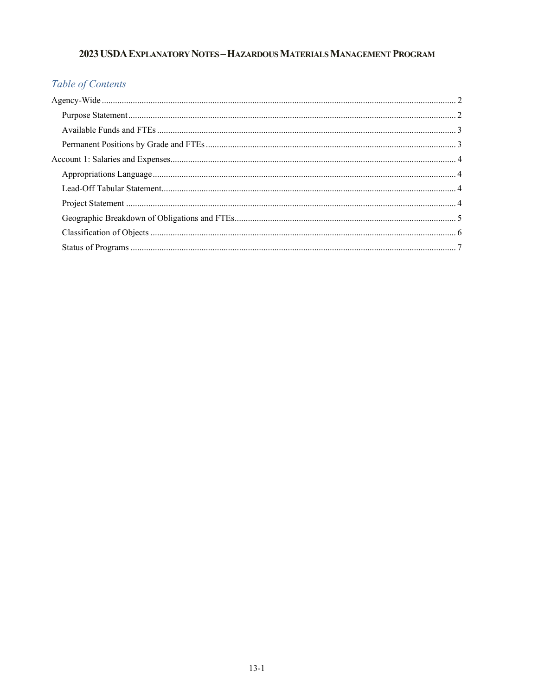# 2023 USDA EXPLANATORY NOTES-HAZARDOUS MATERIALS MANAGEMENT PROGRAM

# Table of Contents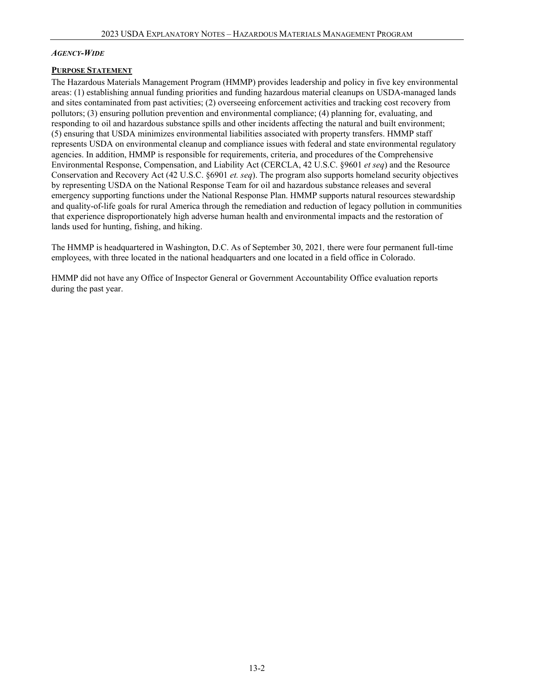#### <span id="page-1-0"></span>*AGENCY-WIDE*

#### <span id="page-1-1"></span>**PURPOSE STATEMENT**

The Hazardous Materials Management Program (HMMP) provides leadership and policy in five key environmental areas: (1) establishing annual funding priorities and funding hazardous material cleanups on USDA-managed lands and sites contaminated from past activities; (2) overseeing enforcement activities and tracking cost recovery from pollutors; (3) ensuring pollution prevention and environmental compliance; (4) planning for, evaluating, and responding to oil and hazardous substance spills and other incidents affecting the natural and built environment; (5) ensuring that USDA minimizes environmental liabilities associated with property transfers. HMMP staff represents USDA on environmental cleanup and compliance issues with federal and state environmental regulatory agencies. In addition, HMMP is responsible for requirements, criteria, and procedures of the Comprehensive Environmental Response, Compensation, and Liability Act (CERCLA, 42 U.S.C. §9601 *et seq*) and the Resource Conservation and Recovery Act (42 U.S.C. §6901 *et. seq*). The program also supports homeland security objectives by representing USDA on the National Response Team for oil and hazardous substance releases and several emergency supporting functions under the National Response Plan. HMMP supports natural resources stewardship and quality-of-life goals for rural America through the remediation and reduction of legacy pollution in communities that experience disproportionately high adverse human health and environmental impacts and the restoration of lands used for hunting, fishing, and hiking.

The HMMP is headquartered in Washington, D.C. As of September 30, 2021*,* there were four permanent full-time employees, with three located in the national headquarters and one located in a field office in Colorado.

HMMP did not have any Office of Inspector General or Government Accountability Office evaluation reports during the past year.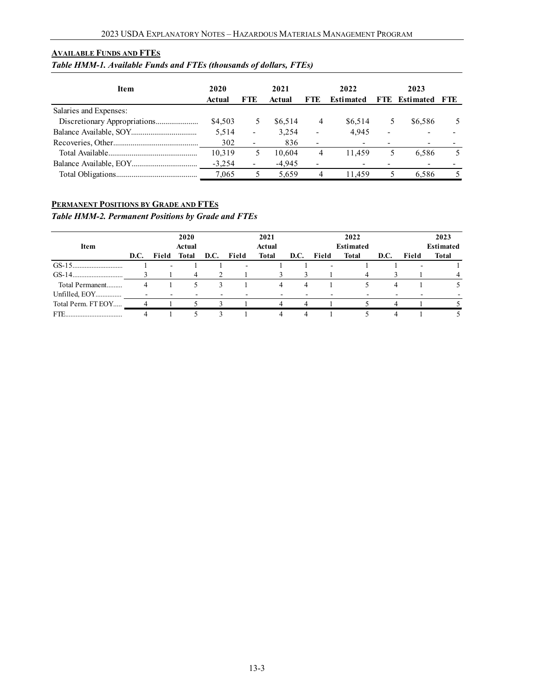#### <span id="page-2-0"></span>**AVAILABLE FUNDS AND FTES**

### *Table HMM-1. Available Funds and FTEs (thousands of dollars, FTEs)*

| <b>Item</b>            | 2020<br>Actual | <b>FTE</b>               | 2021<br>Actual | FTE.                     | 2022<br><b>Estimated</b> | FTE                      | 2023<br><b>Estimated FTE</b> |  |
|------------------------|----------------|--------------------------|----------------|--------------------------|--------------------------|--------------------------|------------------------------|--|
| Salaries and Expenses: |                |                          |                |                          |                          |                          |                              |  |
|                        | \$4,503        |                          | \$6,514        | 4                        | \$6,514                  | 5                        | \$6,586                      |  |
|                        | 5.514          | $\overline{\phantom{a}}$ | 3.254          | $\overline{\phantom{0}}$ | 4.945                    | $\overline{\phantom{a}}$ |                              |  |
|                        | 302            | $\overline{\phantom{a}}$ | 836            | ۰                        |                          |                          |                              |  |
|                        | 10,319         |                          | 10.604         | 4                        | 11.459                   | 5.                       | 6.586                        |  |
|                        | $-3.254$       | $\overline{\phantom{0}}$ | $-4,945$       |                          |                          |                          |                              |  |
|                        | 7.065          |                          | 5.659          | 4                        | 11.459                   |                          | 6.586                        |  |

### <span id="page-2-1"></span>**PERMANENT POSITIONS BY GRADE AND FTES**

*Table HMM-2. Permanent Positions by Grade and FTEs*

| <b>Item</b>        |      | 2020<br>Actual |       |      | 2021<br>Actual |       |      | 2022<br><b>Estimated</b> |              |      |       | 2023<br><b>Estimated</b> |  |
|--------------------|------|----------------|-------|------|----------------|-------|------|--------------------------|--------------|------|-------|--------------------------|--|
|                    | D.C. | Field          | Total | D.C. | Field          | Total | D.C. | Field                    | <b>Total</b> | D.C. | Field | Total                    |  |
|                    |      |                |       |      | ٠              |       |      | $\overline{\phantom{0}}$ |              |      |       |                          |  |
|                    |      |                | 4     |      |                |       |      |                          |              |      |       |                          |  |
| Total Permanent    |      |                |       | 3    |                | 4     | 4    |                          |              |      |       |                          |  |
| Unfilled, EOY      |      |                |       |      |                |       |      |                          |              |      |       |                          |  |
| Total Perm. FT EOY |      |                |       |      |                |       |      |                          |              |      |       |                          |  |
| FTE                |      |                |       |      |                |       |      |                          |              |      |       |                          |  |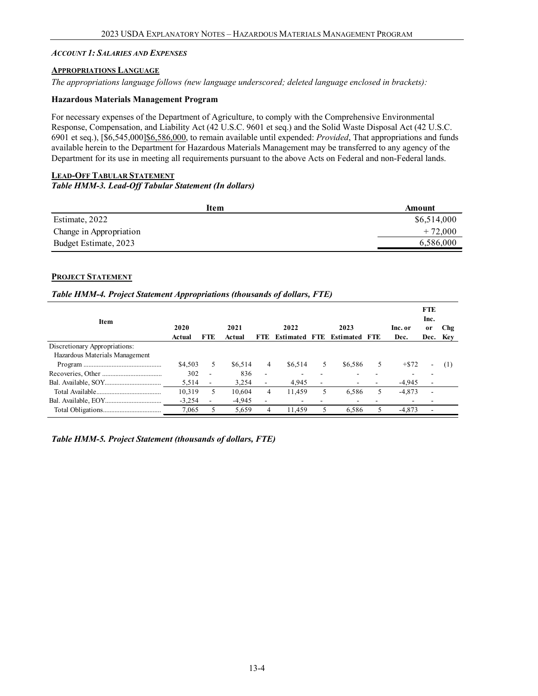#### <span id="page-3-0"></span>*ACCOUNT 1: SALARIES AND EXPENSES*

#### <span id="page-3-1"></span>**APPROPRIATIONS LANGUAGE**

*The appropriations language follows (new language underscored; deleted language enclosed in brackets):*

#### **Hazardous Materials Management Program**

For necessary expenses of the Department of Agriculture, to comply with the Comprehensive Environmental Response, Compensation, and Liability Act (42 U.S.C. 9601 et seq.) and the Solid Waste Disposal Act (42 U.S.C. 6901 et seq.), [\$6,545,000]\$6,586,000, to remain available until expended: *Provided*, That appropriations and funds available herein to the Department for Hazardous Materials Management may be transferred to any agency of the Department for its use in meeting all requirements pursuant to the above Acts on Federal and non-Federal lands.

#### <span id="page-3-2"></span>**LEAD-OFF TABULAR STATEMENT** *Table HMM-3. Lead-Off Tabular Statement (In dollars)*

<span id="page-3-3"></span>

| Item                    | Amount      |
|-------------------------|-------------|
| Estimate, 2022          | \$6,514,000 |
| Change in Appropriation | $+72,000$   |
| Budget Estimate, 2023   | 6,586,000   |

#### **PROJECT STATEMENT**

#### *Table HMM-4. Project Statement Appropriations (thousands of dollars, FTE)*

| Item                           | 2020<br>Actual | <b>FTE</b> | 2021<br>Actual | FTE.           | 2022<br><b>Estimated</b> | - FTE  | 2023<br><b>Estimated FTE</b> |   | Inc. or<br>Dec. | <b>FTE</b><br>Inc.<br><sub>or</sub><br>Dec. | Chg<br>Key |
|--------------------------------|----------------|------------|----------------|----------------|--------------------------|--------|------------------------------|---|-----------------|---------------------------------------------|------------|
| Discretionary Appropriations:  |                |            |                |                |                          |        |                              |   |                 |                                             |            |
| Hazardous Materials Management |                |            |                |                |                          |        |                              |   |                 |                                             |            |
|                                | \$4,503        | 5          | \$6.514        | $\overline{4}$ | \$6.514                  | 5      | \$6,586                      | 5 | $+ $72$         | ۰                                           | (1)        |
|                                | 302            | ÷          | 836            | ۰.             |                          |        |                              |   |                 |                                             |            |
|                                | 5,514          |            | 3,254          |                | 4,945                    | $\sim$ |                              |   | $-4.945$        | $\overline{ }$                              |            |
|                                | 10,319         | 5.         | 10.604         | 4              | 11.459                   | 5      | 6,586                        | 5 | $-4,873$        | ۰                                           |            |
|                                | $-3,254$       | ٠          | $-4,945$       |                | ۰                        |        |                              |   |                 |                                             |            |
|                                | 7.065          |            | 5,659          | 4              | 11.459                   | 5      | 6,586                        | 5 | $-4,873$        | ٠                                           |            |

*Table HMM-5. Project Statement (thousands of dollars, FTE)*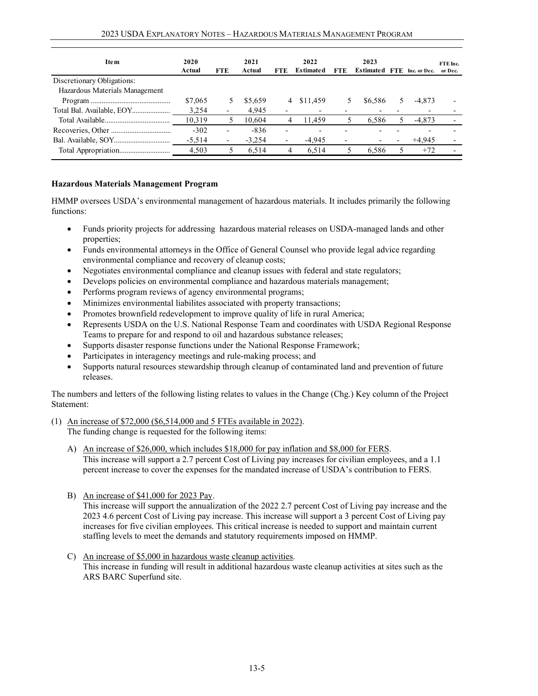| 2020<br>Actual | <b>FTE</b> | 2021<br>Actual | <b>FTE</b>               | 2022<br><b>Estimated</b> | FTE                      | 2023  | Inc. or Dec.                             | FTE Inc.<br>or Dec. |
|----------------|------------|----------------|--------------------------|--------------------------|--------------------------|-------|------------------------------------------|---------------------|
|                |            |                |                          |                          |                          |       |                                          |                     |
|                |            |                |                          |                          |                          |       |                                          |                     |
| \$7,065        |            | \$5,659        |                          | \$11,459                 |                          |       | $-4.873$                                 |                     |
| 3.254          |            | 4,945          |                          |                          |                          |       |                                          |                     |
| 10,319         | 5          | 10.604         | 4                        | 11.459                   |                          |       | $-4,873$                                 |                     |
| $-302$         |            | $-836$         |                          |                          |                          |       |                                          |                     |
| $-5,514$       | -          | $-3,254$       | $\overline{\phantom{a}}$ | $-4.945$                 | $\overline{\phantom{a}}$ |       | $+4.945$                                 |                     |
| 4,503          |            | 6,514          | 4                        | 6,514                    |                          | 6,586 | $+72$                                    |                     |
|                |            |                |                          |                          | 4                        |       | <b>Estimated FTE</b><br>\$6.586<br>6,586 |                     |

#### **Hazardous Materials Management Program**

HMMP oversees USDA's environmental management of hazardous materials. It includes primarily the following functions:

- Funds priority projects for addressing hazardous material releases on USDA-managed lands and other properties;
- Funds environmental attorneys in the Office of General Counsel who provide legal advice regarding environmental compliance and recovery of cleanup costs;
- Negotiates environmental compliance and cleanup issues with federal and state regulators;
- Develops policies on environmental compliance and hazardous materials management;
- Performs program reviews of agency environmental programs;
- Minimizes environmental liabilites associated with property transactions;
- Promotes brownfield redevelopment to improve quality of life in rural America;
- Represents USDA on the U.S. National Response Team and coordinates with USDA Regional Response Teams to prepare for and respond to oil and hazardous substance releases;
- Supports disaster response functions under the National Response Framework;
- Participates in interagency meetings and rule-making process; and
- Supports natural resources stewardship through cleanup of contaminated land and prevention of future releases.

The numbers and letters of the following listing relates to values in the Change (Chg.) Key column of the Project Statement:

#### (1) An increase of \$72,000 (\$6,514,000 and 5 FTEs available in 2022). The funding change is requested for the following items:

- A) An increase of \$26,000, which includes \$18,000 for pay inflation and \$8,000 for FERS. This increase will support a 2.7 percent Cost of Living pay increases for civilian employees, and a 1.1 percent increase to cover the expenses for the mandated increase of USDA's contribution to FERS.
- B) An increase of \$41,000 for 2023 Pay.

This increase will support the annualization of the 2022 2.7 percent Cost of Living pay increase and the 2023 4.6 percent Cost of Living pay increase. This increase will support a 3 percent Cost of Living pay increases for five civilian employees. This critical increase is needed to support and maintain current staffing levels to meet the demands and statutory requirements imposed on HMMP.

<span id="page-4-0"></span>C) An increase of \$5,000 in hazardous waste cleanup activities. This increase in funding will result in additional hazardous waste cleanup activities at sites such as the ARS BARC Superfund site.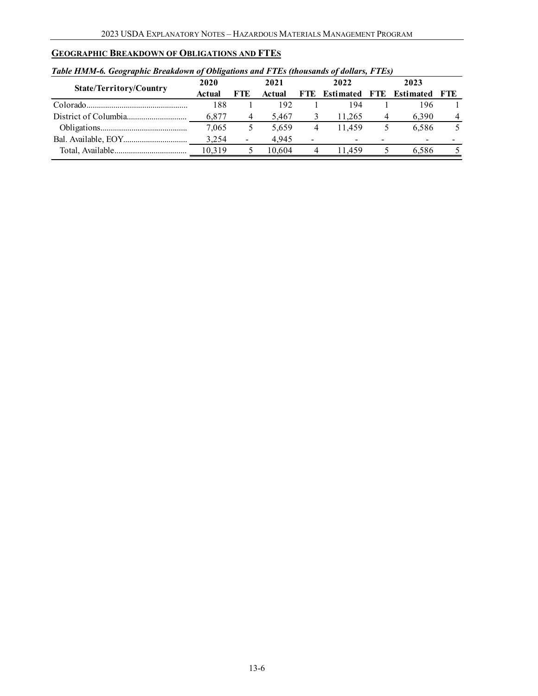### **GEOGRAPHIC BREAKDOWN OF OBLIGATIONS AND FTES**

#### *Table HMM-6. Geographic Breakdown of Obligations and FTEs (thousands of dollars, FTEs)*

| 2020   |                          | 2021   |   | 2022   | 2023 |       |                             |  |
|--------|--------------------------|--------|---|--------|------|-------|-----------------------------|--|
| Actual | FTE                      | Actual |   |        |      |       | - FTE                       |  |
| 188    |                          | 192    |   | 194    |      | 196   |                             |  |
| 6.877  | 4                        | 5.467  |   | 11.265 |      | 6.390 | 4                           |  |
| 7,065  | Ć.                       | 5.659  | 4 | 11.459 |      | 6.586 |                             |  |
| 3.254  | $\overline{\phantom{a}}$ | 4.945  |   |        |      |       |                             |  |
| 10.319 |                          | 10.604 |   | 11459  |      | 6.586 |                             |  |
|        |                          |        |   |        |      |       | FTE Estimated FTE Estimated |  |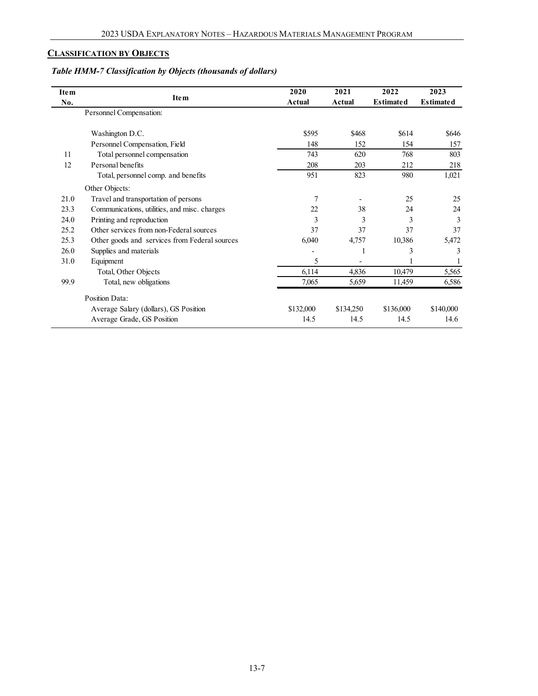### **CLASSIFICATION BY OBJECTS**

## *Table HMM-7 Classification by Objects (thousands of dollars)*

| <b>Item</b> | <b>Item</b>                                   | 2020          | 2021      | 2022             | 2023             |
|-------------|-----------------------------------------------|---------------|-----------|------------------|------------------|
| No.         |                                               | <b>Actual</b> | Actual    | <b>Estimated</b> | <b>Estimated</b> |
|             | Personnel Compensation:                       |               |           |                  |                  |
|             |                                               |               |           |                  |                  |
|             | Washington D.C.                               | \$595         | \$468     | \$614            | \$646            |
|             | Personnel Compensation, Field                 | 148           | 152       | 154              | 157              |
| 11          | Total personnel compensation                  | 743           | 620       | 768              | 803              |
| 12          | Personal benefits                             | 208           | 203       | 212              | 218              |
|             | Total, personnel comp. and benefits           | 951           | 823       | 980              | 1,021            |
|             | Other Objects:                                |               |           |                  |                  |
| 21.0        | Travel and transportation of persons          | 7             |           | 25               | 25               |
| 23.3        | Communications, utilities, and misc. charges  | 22            | 38        | 24               | 24               |
| 24.0        | Printing and reproduction                     | 3             | 3         | 3                | 3                |
| 25.2        | Other services from non-Federal sources       | 37            | 37        | 37               | 37               |
| 25.3        | Other goods and services from Federal sources | 6,040         | 4,757     | 10,386           | 5,472            |
| 26.0        | Supplies and materials                        |               |           | 3                | 3                |
| 31.0        | Equipment                                     | 5             |           |                  |                  |
|             | Total, Other Objects                          | 6,114         | 4,836     | 10,479           | 5,565            |
| 99.9        | Total, new obligations                        | 7,065         | 5,659     | 11,459           | 6,586            |
|             | Position Data:                                |               |           |                  |                  |
|             | Average Salary (dollars), GS Position         | \$132,000     | \$134,250 | \$136,000        | \$140,000        |
|             | Average Grade, GS Position                    | 14.5          | 14.5      | 14.5             | 14.6             |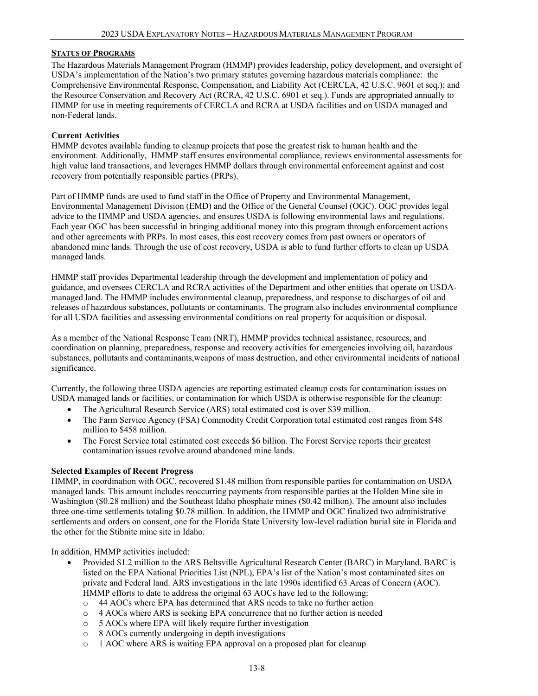#### <span id="page-7-0"></span>**STATUS OF PROGRAMS**

The Hazardous Materials Management Program (HMMP) provides leadership, policy development, and oversight of USDA's implementation of the Nation's two primary statutes governing hazardous materials compliance: the Comprehensive Environmental Response, Compensation, and Liability Act (CERCLA, 42 U.S.C. 9601 et seq.); and the Resource Conservation and Recovery Act (RCRA, 42 U.S.C. 6901 et seq.). Funds are appropriated annually to HMMP for use in meeting requirements of CERCLA and RCRA at USDA facilities and on USDA managed and non-Federal lands.

#### **Current Activities**

HMMP devotes available funding to cleanup projects that pose the greatest risk to human health and the environment. Additionally, HMMP staff ensures environmental compliance, reviews environmental assessments for high value land transactions, and leverages HMMP dollars through environmental enforcement against and cost recovery from potentially responsible parties (PRPs).

Part of HMMP funds are used to fund staff in the Office of Property and Environmental Management, Environmental Management Division (EMD) and the Office of the General Counsel (OGC). OGC provides legal advice to the HMMP and USDA agencies, and ensures USDA is following environmental laws and regulations. Each year OGC has been successful in bringing additional money into this program through enforcement actions and other agreements with PRPs. In most cases, this cost recovery comes from past owners or operators of abandoned mine lands. Through the use of cost recovery, USDA is able to fund further efforts to clean up USDA managed lands.

HMMP staff provides Departmental leadership through the development and implementation of policy and guidance, and oversees CERCLA and RCRA activities of the Department and other entities that operate on USDAmanaged land. The HMMP includes environmental cleanup, preparedness, and response to discharges of oil and releases of hazardous substances, pollutants or contaminants. The program also includes environmental compliance for all USDA facilities and assessing environmental conditions on real property for acquisition or disposal.

As a member of the National Response Team (NRT), HMMP provides technical assistance, resources, and coordination on planning, preparedness, response and recovery activities for emergencies involving oil, hazardous substances, pollutants and contaminants,weapons of mass destruction, and other environmental incidents of national significance.

Currently, the following three USDA agencies are reporting estimated cleanup costs for contamination issues on USDA managed lands or facilities, or contamination for which USDA is otherwise responsible for the cleanup:

- The Agricultural Research Service (ARS) total estimated cost is over \$39 million.
- The Farm Service Agency (FSA) Commodity Credit Corporation total estimated cost ranges from \$48 million to \$458 million.
- The Forest Service total estimated cost exceeds \$6 billion. The Forest Service reports their greatest contamination issues revolve around abandoned mine lands.

#### **Selected Examples of Recent Progress**

HMMP, in coordination with OGC, recovered \$1.48 million from responsible parties for contamination on USDA managed lands. This amount includes reoccurring payments from responsible parties at the Holden Mine site in Washington (\$0.28 million) and the Southeast Idaho phosphate mines (\$0.42 million). The amount also includes three one-time settlements totaling \$0.78 million. In addition, the HMMP and OGC finalized two administrative settlements and orders on consent, one for the Florida State University low-level radiation burial site in Florida and the other for the Stibnite mine site in Idaho.

In addition, HMMP activities included:

- Provided \$1.2 million to the ARS Beltsville Agricultural Research Center (BARC) in Maryland. BARC is listed on the EPA National Priorities List (NPL), EPA's list of the Nation's most contaminated sites on private and Federal land. ARS investigations in the late 1990s identified 63 Areas of Concern (AOC). HMMP efforts to date to address the original 63 AOCs have led to the following:
	- o 44 AOCs where EPA has determined that ARS needs to take no further action
	- o 4 AOCs where ARS is seeking EPA concurrence that no further action is needed
	- o 5 AOCs where EPA will likely require further investigation
	- o 8 AOCs currently undergoing in depth investigations
	- o 1 AOC where ARS is waiting EPA approval on a proposed plan for cleanup